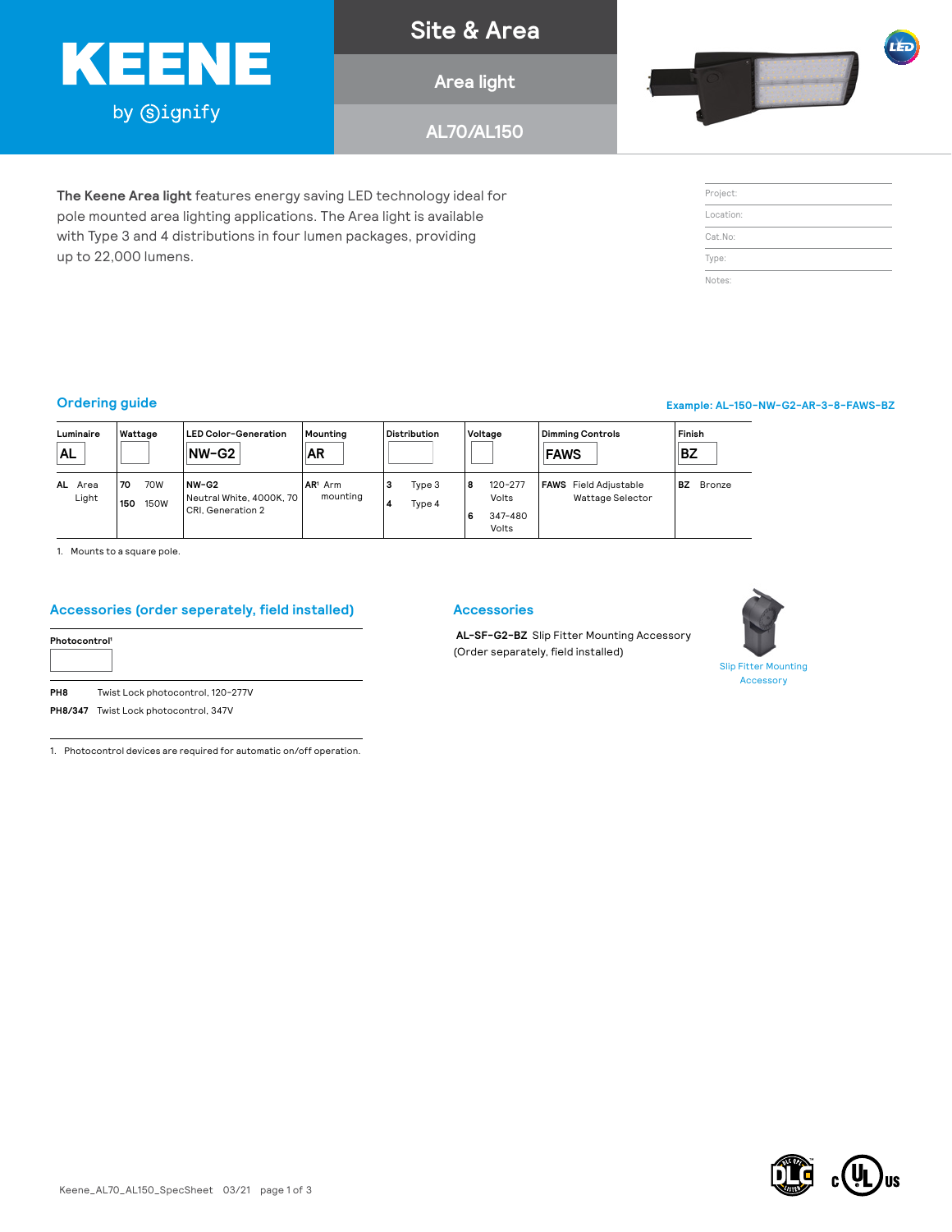

**The Keene Area light** features energy saving LED technology ideal for pole mounted area lighting applications. The Area light is available with Type 3 and 4 distributions in four lumen packages, providing

### **Site & Area**

**Area light**

**AL70/AL150**



Project: Location: Cat.No: Type: Notes:

n÷.

#### **Ordering guide Example: AL-150-NW-G2-AR-3-8-FAWS-BZ**

up to 22,000 lumens.

| Luminaire<br>AL         | Wattage                         | <b>LED Color-Generation</b><br>$NW-G2$                     | Mountina<br>∣AR       | <b>Distribution</b>        | Voltage                                            | <b>Dimmina Controls</b><br><b>FAWS</b>           | Finish<br>BZ |  |
|-------------------------|---------------------------------|------------------------------------------------------------|-----------------------|----------------------------|----------------------------------------------------|--------------------------------------------------|--------------|--|
| <b>AL</b> Area<br>Light | 70W<br>70<br><b>150W</b><br>150 | NW-G2<br>  Neutral White, 4000K, 70  <br>CRI. Generation 2 | $AR1$ Arm<br>mounting | Type 3<br>з<br>Type 4<br>4 | $120 - 277$<br>8<br>Volts<br>347-480<br>6<br>Volts | <b>FAWS</b> Field Adjustable<br>Wattage Selector | BZ<br>Bronze |  |

1. Mounts to a square pole.

#### **Accessories (order seperately, field installed)**

| PH8 | Twist Lock photocontrol, 120-277V |
|-----|-----------------------------------|

**PH8/347** Twist Lock photocontrol, 347V

1. Photocontrol devices are required for automatic on/off operation.

### **Accessories**

**AL-SF-G2-BZ** Slip Fitter Mounting Accessory (Order separately, field installed)



Slip Fitter Mounting Accessory

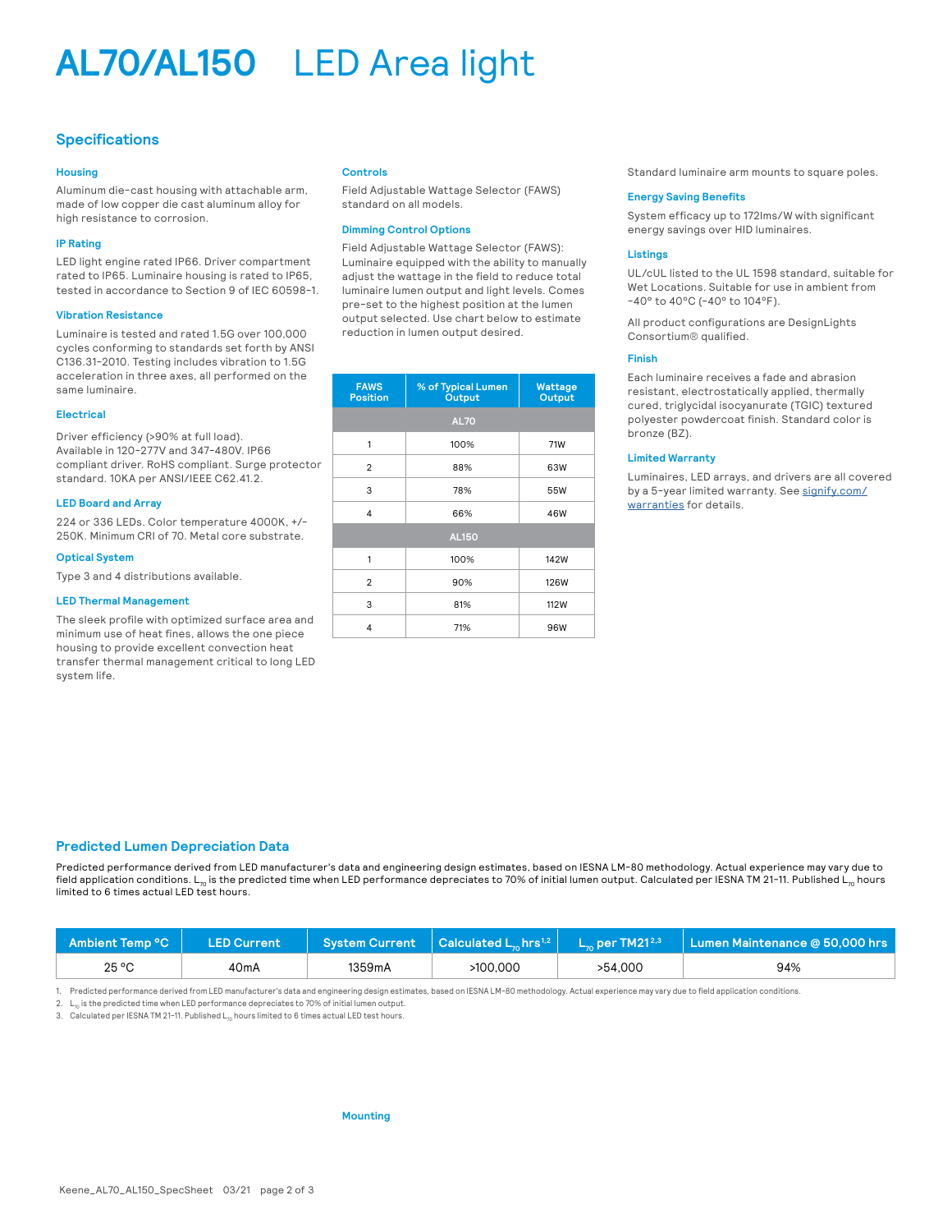## **AL70/AL150** LED Area light

#### **Specifications**

#### **Housing**

Aluminum die-cast housing with attachable arm, made of low copper die cast aluminum alloy for high resistance to corrosion.

#### **IP Rating**

LED light engine rated IP66. Driver compartment rated to IP65. Luminaire housing is rated to IP65, tested in accordance to Section 9 of IEC 60598-1.

#### **Vibration Resistance**

Luminaire is tested and rated 1.5G over 100,000 cycles conforming to standards set forth by ANSI C136.31-2010. Testing includes vibration to 1.5G acceleration in three axes, all performed on the same luminaire.

#### **Electrical**

Driver efficiency (>90% at full load). Available in 120-277V and 347-480V. IP66 compliant driver. RoHS compliant. Surge protector standard. 10KA per ANSI/IEEE C62.41.2.

#### **LED Board and Array**

224 or 336 LEDs. Color temperature 4000K, +/- 250K. Minimum CRI of 70. Metal core substrate.

#### **Optical System**

Type 3 and 4 distributions available.

#### **LED Thermal Management**

The sleek profile with optimized surface area and minimum use of heat fines, allows the one piece housing to provide excellent convection heat transfer thermal management critical to long LED system life.

#### **Controls**

Field Adjustable Wattage Selector (FAWS) standard on all models.

#### **Dimming Control Options**

Field Adjustable Wattage Selector (FAWS): Luminaire equipped with the ability to manually adjust the wattage in the field to reduce total luminaire lumen output and light levels. Comes pre-set to the highest position at the lumen output selected. Use chart below to estimate reduction in lumen output desired.

| <b>FAWS</b><br><b>Position</b> | % of Typical Lumen<br>Output | <b>Wattage</b><br>Output |  |  |  |  |  |  |
|--------------------------------|------------------------------|--------------------------|--|--|--|--|--|--|
|                                | <b>AL70</b>                  |                          |  |  |  |  |  |  |
| 1                              | 100%                         | 71W                      |  |  |  |  |  |  |
| $\overline{2}$                 | 88%                          | 63W                      |  |  |  |  |  |  |
| 3                              | 78%                          | 55W                      |  |  |  |  |  |  |
| 4                              | 66%                          | 46W                      |  |  |  |  |  |  |
| <b>AL150</b>                   |                              |                          |  |  |  |  |  |  |
| 1                              | 100%                         | 142W                     |  |  |  |  |  |  |
| $\overline{2}$                 | 90%                          | <b>126W</b>              |  |  |  |  |  |  |
| 3                              | 81%                          | 112W                     |  |  |  |  |  |  |
| 4                              | 71%                          | 96W                      |  |  |  |  |  |  |

Standard luminaire arm mounts to square poles.

#### **Energy Saving Benefits**

System efficacy up to 172lms/W with significant energy savings over HID luminaires.

#### **Listings**

UL/cUL listed to the UL 1598 standard, suitable for Wet Locations. Suitable for use in ambient from -40° to 40°C (-40° to 104°F).

All product configurations are DesignLights Consortium® qualified.

#### **Finish**

Each luminaire receives a fade and abrasion resistant, electrostatically applied, thermally cured, triglycidal isocyanurate (TGIC) textured polyester powdercoat finish. Standard color is bronze (BZ).

#### **Limited Warranty**

Luminaires, LED arrays, and drivers are all covered by a 5-year limited warranty. See [signify.com/](http://www.signify.com/warranties) [warranties](http://www.signify.com/warranties) for details.

#### **Predicted Lumen Depreciation Data**

Predicted performance derived from LED manufacturer's data and engineering design estimates, based on IESNA LM-80 methodology. Actual experience may vary due to field application conditions. L<sub>70</sub> is the predicted time when LED performance depreciates to 70% of initial lumen output. Calculated per IESNA TM 21-11. Published L<sub>70</sub> hours limited to 6 times actual LED test hours.

| Ambient Temp °C N | LED Current       |        |          |         | System Current $\,$   Calculated L <sub>10</sub> hrs <sup>1,2</sup>   $\,$ L <sub>10</sub> per TM21 <sup>2,3</sup>   Lumen Maintenance @ 50,000 hrs |
|-------------------|-------------------|--------|----------|---------|-----------------------------------------------------------------------------------------------------------------------------------------------------|
| 25 °C             | 40 <sub>m</sub> A | 1359mA | >100.000 | >54.000 | 94%                                                                                                                                                 |

1. Predicted performance derived from LED manufacturer's data and engineering design estimates, based on IESNA LM-80 methodology. Actual experience may vary due to field application conditions.

2. L<sub>n</sub> is the predicted time when LED performance depreciates to 70% of initial lumen output.

3. Calculated per IESNA TM 21-11. Published L., hours limited to 6 times actual LED test hours.

#### **Mounting**